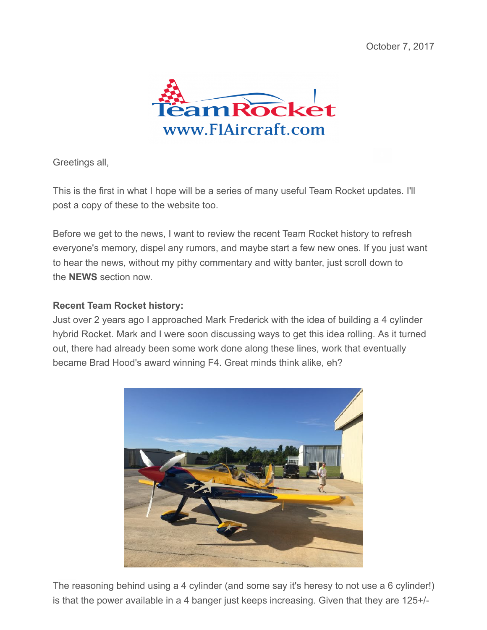

Greetings all,

This is the first in what I hope will be a series of many useful Team Rocket updates. I'll post a copy of these to the website too.

Before we get to the news, I want to review the recent Team Rocket history to refresh everyone's memory, dispel any rumors, and maybe start a few new ones. If you just want to hear the news, without my pithy commentary and witty banter, just scroll down to the NEWS section now.

## Recent Team Rocket history:

Just over 2 years ago I approached Mark Frederick with the idea of building a 4 cylinder hybrid Rocket. Mark and I were soon discussing ways to get this idea rolling. As it turned out, there had already been some work done along these lines, work that eventually became Brad Hood's award winning F4. Great minds think alike, eh?



The reasoning behind using a 4 cylinder (and some say it's heresy to not use a 6 cylinder!) is that the power available in a 4 banger just keeps increasing. Given that they are 125+/-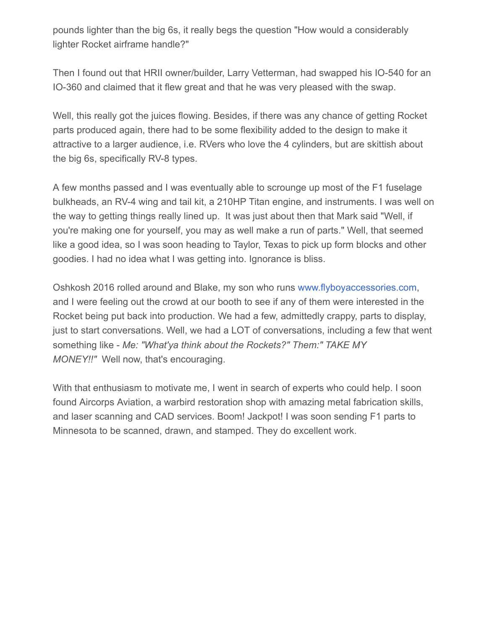pounds lighter than the big 6s, it really begs the question "How would a considerably lighter Rocket airframe handle?"

Then I found out that HRII owner/builder, Larry Vetterman, had swapped his IO-540 for an IO-360 and claimed that it flew great and that he was very pleased with the swap.

Well, this really got the juices flowing. Besides, if there was any chance of getting Rocket parts produced again, there had to be some flexibility added to the design to make it attractive to a larger audience, i.e. RVers who love the 4 cylinders, but are skittish about the big 6s, specifically RV-8 types.

A few months passed and I was eventually able to scrounge up most of the F1 fuselage bulkheads, an RV-4 wing and tail kit, a 210HP Titan engine, and instruments. I was well on the way to getting things really lined up. It was just about then that Mark said "Well, if you're making one for yourself, you may as well make a run of parts." Well, that seemed like a good idea, so I was soon heading to Taylor, Texas to pick up form blocks and other goodies. I had no idea what I was getting into. Ignorance is bliss.

Oshkosh 2016 rolled around and Blake, my son who runs [www.flyboyaccessories.com](http://mail01.tinyletterapp.com/vfrazier/team-rocket-news-10-7-2017/9698897-www.flyboyaccessories.com/?c=1a165092-6370-4915-b12e-0a4e6f6ced33), and I were feeling out the crowd at our booth to see if any of them were interested in the Rocket being put back into production. We had a few, admittedly crappy, parts to display, just to start conversations. Well, we had a LOT of conversations, including a few that went something like - Me: "What'ya think about the Rockets?" Them:" TAKE MY MONEY!!" Well now, that's encouraging.

With that enthusiasm to motivate me, I went in search of experts who could help. I soon found Aircorps Aviation, a warbird restoration shop with amazing metal fabrication skills, and laser scanning and CAD services. Boom! Jackpot! I was soon sending F1 parts to Minnesota to be scanned, drawn, and stamped. They do excellent work.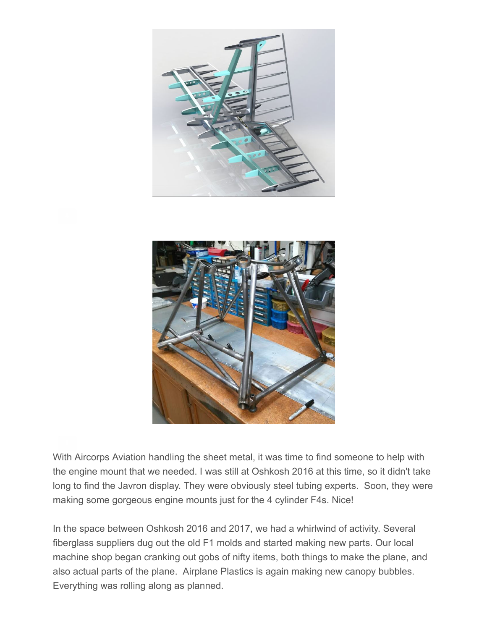



With Aircorps Aviation handling the sheet metal, it was time to find someone to help with the engine mount that we needed. I was still at Oshkosh 2016 at this time, so it didn't take long to find the Javron display. They were obviously steel tubing experts. Soon, they were making some gorgeous engine mounts just for the 4 cylinder F4s. Nice!

In the space between Oshkosh 2016 and 2017, we had a whirlwind of activity. Several fiberglass suppliers dug out the old F1 molds and started making new parts. Our local machine shop began cranking out gobs of nifty items, both things to make the plane, and also actual parts of the plane. Airplane Plastics is again making new canopy bubbles. Everything was rolling along as planned.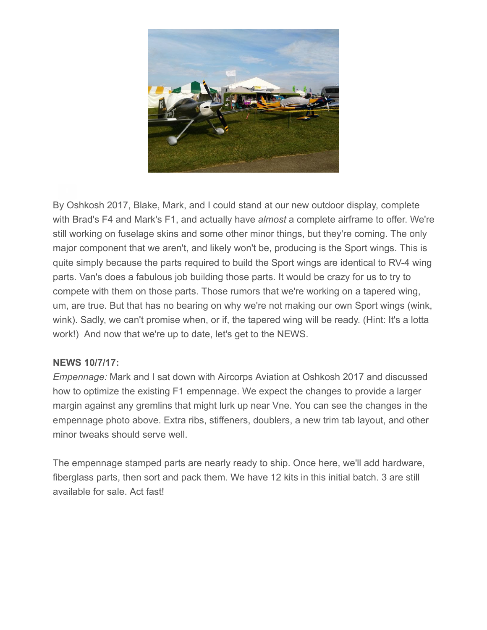

By Oshkosh 2017, Blake, Mark, and I could stand at our new outdoor display, complete with Brad's F4 and Mark's F1, and actually have almost a complete airframe to offer. We're still working on fuselage skins and some other minor things, but they're coming. The only major component that we aren't, and likely won't be, producing is the Sport wings. This is quite simply because the parts required to build the Sport wings are identical to RV-4 wing parts. Van's does a fabulous job building those parts. It would be crazy for us to try to compete with them on those parts. Those rumors that we're working on a tapered wing, um, are true. But that has no bearing on why we're not making our own Sport wings (wink, wink). Sadly, we can't promise when, or if, the tapered wing will be ready. (Hint: It's a lotta work!) And now that we're up to date, let's get to the NEWS.

## NEWS 10/7/17:

Empennage: Mark and I sat down with Aircorps Aviation at Oshkosh 2017 and discussed how to optimize the existing F1 empennage. We expect the changes to provide a larger margin against any gremlins that might lurk up near Vne. You can see the changes in the empennage photo above. Extra ribs, stiffeners, doublers, a new trim tab layout, and other minor tweaks should serve well.

The empennage stamped parts are nearly ready to ship. Once here, we'll add hardware, fiberglass parts, then sort and pack them. We have 12 kits in this initial batch. 3 are still available for sale. Act fast!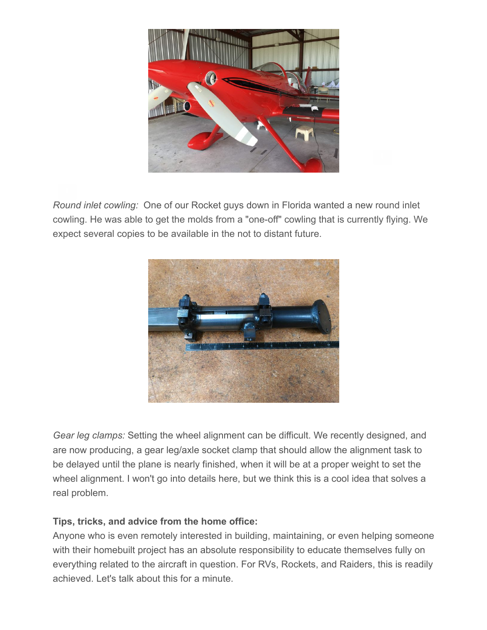

Round inlet cowling: One of our Rocket guys down in Florida wanted a new round inlet cowling. He was able to get the molds from a "one-off" cowling that is currently flying. We expect several copies to be available in the not to distant future.



Gear leg clamps: Setting the wheel alignment can be difficult. We recently designed, and are now producing, a gear leg/axle socket clamp that should allow the alignment task to be delayed until the plane is nearly finished, when it will be at a proper weight to set the wheel alignment. I won't go into details here, but we think this is a cool idea that solves a real problem.

## Tips, tricks, and advice from the home office:

Anyone who is even remotely interested in building, maintaining, or even helping someone with their homebuilt project has an absolute responsibility to educate themselves fully on everything related to the aircraft in question. For RVs, Rockets, and Raiders, this is readily achieved. Let's talk about this for a minute.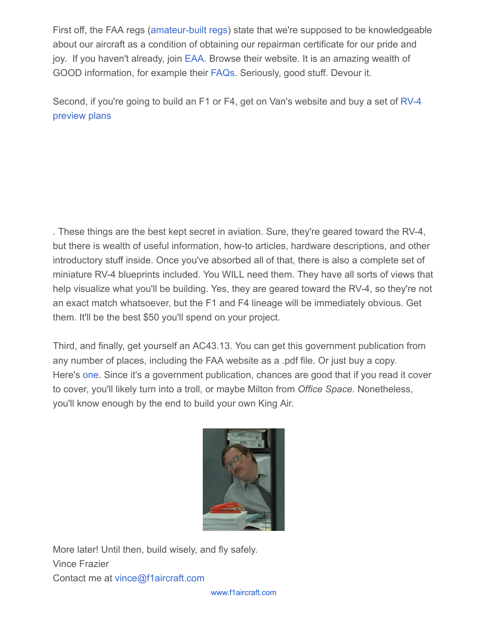First off, the FAA regs ([amateur-built regs](http://mail01.tinyletterapp.com/vfrazier/team-rocket-news-10-7-2017/9698901-www.faa.gov/aircraft/gen_av/ultralights/amateur_built/amateur_regs/?c=1a165092-6370-4915-b12e-0a4e6f6ced33)) state that we're supposed to be knowledgeable about our aircraft as a condition of obtaining our repairman certificate for our pride and joy. If you haven't already, join [EAA](http://mail01.tinyletterapp.com/vfrazier/team-rocket-news-10-7-2017/9698905-www.eaa.org/eaa?c=1a165092-6370-4915-b12e-0a4e6f6ced33). Browse their website. It is an amazing wealth of GOOD information, for example their [FAQs](http://mail01.tinyletterapp.com/vfrazier/team-rocket-news-10-7-2017/9698909-www.eaa.org/en/eaa/aviation-communities-and-interests/homebuilt-aircraft-and-homebuilt-aircraft-kits/frequently-asked-questions?c=1a165092-6370-4915-b12e-0a4e6f6ced33). Seriously, good stuff. Devour it.

[Second, if you're going to build an F1 or F4, get on Van's website and buy a set of](http://mail01.tinyletterapp.com/vfrazier/team-rocket-news-10-7-2017/9698913-vansaircraft.com/pdf/order_forms/rv-4_order_form.pdf?c=1a165092-6370-4915-b12e-0a4e6f6ced33) RV-4 preview plans

. These things are the best kept secret in aviation. Sure, they're geared toward the RV-4, but there is wealth of useful information, how-to articles, hardware descriptions, and other introductory stuff inside. Once you've absorbed all of that, there is also a complete set of miniature RV-4 blueprints included. You WILL need them. They have all sorts of views that help visualize what you'll be building. Yes, they are geared toward the RV-4, so they're not an exact match whatsoever, but the F1 and F4 lineage will be immediately obvious. Get them. It'll be the best \$50 you'll spend on your project.

Third, and finally, get yourself an AC43.13. You can get this government publication from any number of places, including the FAA website as a .pdf file. Or just buy a copy. Here's [one](http://mail01.tinyletterapp.com/vfrazier/team-rocket-news-10-7-2017/9698917-www.aircraftspruce.com/catalog/bvpages/ac4313act.php?c=1a165092-6370-4915-b12e-0a4e6f6ced33). Since it's a government publication, chances are good that if you read it cover to cover, you'll likely turn into a troll, or maybe Milton from Office Space. Nonetheless, you'll know enough by the end to build your own King Air.



More later! Until then, build wisely, and fly safely. Vince Frazier Contact me at [vince@f1aircraft.com](mailto:vince@f1aircraft.com)